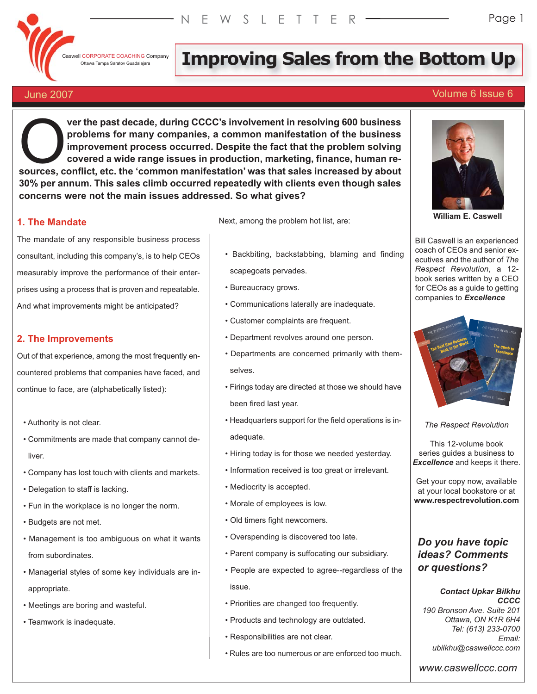Caswell CORPORATE COACHING Company

# Il CORPORATE COACHING Company **Impary Improving Sales from the Bottom Up**

### June 2007 Volume 6 Issue 6

**ver the past decade, during CCCC's involvement in resolving 600 business problems for many companies, a common manifestation of the business improvement process occurred. Despite the fact that the problem solving covered a wide range issues in production, marketing, finance, human re-Sources** were the past decade, during CCCC's involvement in resolving 600 business<br>improvement process occurred. Despite the fact that the problem solving<br>covered a wide range issues in production, marketing, finance, hum **30% per annum. This sales climb occurred repeatedly with clients even though sales concerns were not the main issues addressed. So what gives?**

#### **1. The Mandate**

The mandate of any responsible business process consultant, including this company's, is to help CEOs measurably improve the performance of their enterprises using a process that is proven and repeatable. And what improvements might be anticipated?

#### **2. The Improvements**

Out of that experience, among the most frequently encountered problems that companies have faced, and continue to face, are (alphabetically listed):

- Authority is not clear.
- Commitments are made that company cannot deliver.
- Company has lost touch with clients and markets.
- Delegation to staff is lacking.
- Fun in the workplace is no longer the norm.
- Budgets are not met.
- Management is too ambiguous on what it wants from subordinates.
- Managerial styles of some key individuals are inappropriate.
- Meetings are boring and wasteful.
- Teamwork is inadequate.

Next, among the problem hot list, are:

- Backbiting, backstabbing, blaming and finding scapegoats pervades.
- Bureaucracy grows.
- Communications laterally are inadequate.
- Customer complaints are frequent.
- Department revolves around one person.
- Departments are concerned primarily with themselves.
- Firings today are directed at those we should have been fired last year.
- Headquarters support for the field operations is inadequate.
- Hiring today is for those we needed yesterday.
- Information received is too great or irrelevant.
- Mediocrity is accepted.
- Morale of employees is low.
- Old timers fight newcomers.
- Overspending is discovered too late.
- Parent company is suffocating our subsidiary.
- People are expected to agree--regardless of the issue.
- Priorities are changed too frequently.
- Products and technology are outdated.
- Responsibilities are not clear.
- Rules are too numerous or are enforced too much.



**William E. Caswell**

Bill Caswell is an experienced coach of CEOs and senior executives and the author of *The Respect Revolution*, a 12 book series written by a CEO for CEOs as a guide to getting companies to *Excellence*



*The Respect Revolution*

This 12-volume book series guides a business to *Excellence* and keeps it there.

Get your copy now, available at your local bookstore or at **www.respectrevolution.com**

### *Do you have topic ideas? Comments or questions?*

*Contact Upkar Bilkhu CCCC 190 Bronson Ave. Suite 201 Ottawa, ON K1R 6H4 Tel: (613) 233-0700 Email: ubilkhu@caswellccc.com*

*www.caswellccc.com*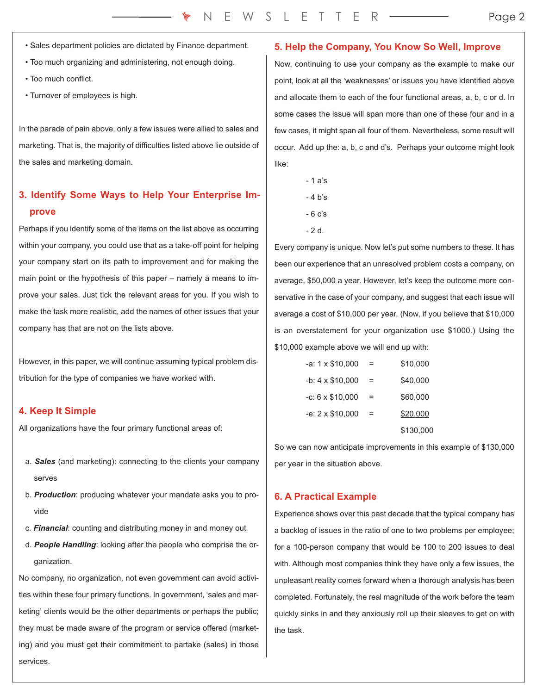- Sales department policies are dictated by Finance department.
- Too much organizing and administering, not enough doing.
- Too much conflict.
- Turnover of employees is high.

In the parade of pain above, only a few issues were allied to sales and marketing. That is, the majority of difficulties listed above lie outside of the sales and marketing domain.

## **3. Identify Some Ways to Help Your Enterprise Improve**

Perhaps if you identify some of the items on the list above as occurring within your company, you could use that as a take-off point for helping your company start on its path to improvement and for making the main point or the hypothesis of this paper – namely a means to improve your sales. Just tick the relevant areas for you. If you wish to make the task more realistic, add the names of other issues that your company has that are not on the lists above.

However, in this paper, we will continue assuming typical problem distribution for the type of companies we have worked with.

#### **4. Keep It Simple**

All organizations have the four primary functional areas of:

- a. *Sales* (and marketing): connecting to the clients your company serves
- b. *Production*: producing whatever your mandate asks you to provide
- c. *Financial*: counting and distributing money in and money out
- d. *People Handling*: looking after the people who comprise the organization.

No company, no organization, not even government can avoid activities within these four primary functions. In government, 'sales and marketing' clients would be the other departments or perhaps the public; they must be made aware of the program or service offered (marketing) and you must get their commitment to partake (sales) in those services.

#### **5. Help the Company, You Know So Well, Improve**

Now, continuing to use your company as the example to make our point, look at all the 'weaknesses' or issues you have identified above and allocate them to each of the four functional areas, a, b, c or d. In some cases the issue will span more than one of these four and in a few cases, it might span all four of them. Nevertheless, some result will occur. Add up the: a, b, c and d's. Perhaps your outcome might look like:

- 1 a's - 4 b's
- 6 c's
- 2 d.

Every company is unique. Now let's put some numbers to these. It has been our experience that an unresolved problem costs a company, on average, \$50,000 a year. However, let's keep the outcome more conservative in the case of your company, and suggest that each issue will average a cost of \$10,000 per year. (Now, if you believe that \$10,000 is an overstatement for your organization use \$1000.) Using the \$10,000 example above we will end up with:

| -a: $1 \times $10,000$ |     | \$10,000  |
|------------------------|-----|-----------|
| $-b: 4 \times $10,000$ | $=$ | \$40,000  |
| $-c: 6 \times $10,000$ | =   | \$60,000  |
| $-e: 2 \times $10,000$ | =   | \$20,000  |
|                        |     | \$130,000 |

So we can now anticipate improvements in this example of \$130,000 per year in the situation above.

#### **6. A Practical Example**

Experience shows over this past decade that the typical company has a backlog of issues in the ratio of one to two problems per employee; for a 100-person company that would be 100 to 200 issues to deal with. Although most companies think they have only a few issues, the unpleasant reality comes forward when a thorough analysis has been completed. Fortunately, the real magnitude of the work before the team quickly sinks in and they anxiously roll up their sleeves to get on with the task.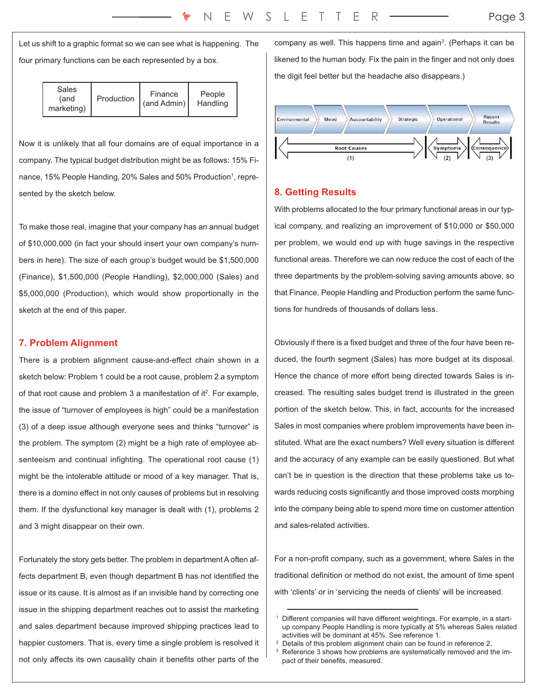Let us shift to a graphic format so we can see what is happening. The four primary functions can be each represented by a box.

| Sales<br>(and<br>marketing) | Production | Finance<br>$\tan\theta$ Admin) | People<br>Handling |
|-----------------------------|------------|--------------------------------|--------------------|
|-----------------------------|------------|--------------------------------|--------------------|

Now it is unlikely that all four domains are of equal importance in a company. The typical budget distribution might be as follows: 15% Finance, 15% People Handing, 20% Sales and 50% Production<sup>1</sup>, represented by the sketch below.

To make those real, imagine that your company has an annual budget of \$10,000,000 (in fact your should insert your own company's numbers in here). The size of each group's budget would be \$1,500,000 (Finance), \$1,500,000 (People Handling), \$2,000,000 (Sales) and \$5,000,000 (Production), which would show proportionally in the sketch at the end of this paper.

#### **7. Problem Alignment**

There is a problem alignment cause-and-effect chain shown in a sketch below: Problem 1 could be a root cause, problem 2 a symptom of that root cause and problem 3 a manifestation of it<sup>2</sup>. For example, the issue of "turnover of employees is high" could be a manifestation (3) of a deep issue although everyone sees and thinks "turnover" is the problem. The symptom (2) might be a high rate of employee absenteeism and continual infighting. The operational root cause (1) might be the intolerable attitude or mood of a key manager. That is, there is a domino effect in not only causes of problems but in resolving them. If the dysfunctional key manager is dealt with (1), problems 2 and 3 might disappear on their own.

Fortunately the story gets better. The problem in department A often affects department B, even though department B has not identified the issue or its cause. It is almost as if an invisible hand by correcting one issue in the shipping department reaches out to assist the marketing and sales department because improved shipping practices lead to happier customers. That is, every time a single problem is resolved it not only affects its own causality chain it benefits other parts of the

company as well. This happens time and again<sup>3</sup>. (Perhaps it can be likened to the human body. Fix the pain in the finger and not only does the digit feel better but the headache also disappears.)



#### **8. Getting Results**

With problems allocated to the four primary functional areas in our typical company, and realizing an improvement of \$10,000 or \$50,000 per problem, we would end up with huge savings in the respective functional areas. Therefore we can now reduce the cost of each of the three departments by the problem-solving saving amounts above, so that Finance, People Handling and Production perform the same functions for hundreds of thousands of dollars less.

Obviously if there is a fixed budget and three of the four have been reduced, the fourth segment (Sales) has more budget at its disposal. Hence the chance of more effort being directed towards Sales is increased. The resulting sales budget trend is illustrated in the green portion of the sketch below. This, in fact, accounts for the increased Sales in most companies where problem improvements have been instituted. What are the exact numbers? Well every situation is different and the accuracy of any example can be easily questioned. But what can't be in question is the direction that these problems take us towards reducing costs significantly and those improved costs morphing into the company being able to spend more time on customer attention and sales-related activities.

For a non-profit company, such as a government, where Sales in the traditional definition or method do not exist, the amount of time spent with 'clients' or in 'servicing the needs of clients' will be increased.

Different companies will have different weightings. For example, in a startup company People Handling is more typically at 5% whereas Sales related activities will be dominant at 45%. See reference 1.

<sup>2</sup> Details of this problem alignment chain can be found in reference 2.

Reference 3 shows how problems are systematically removed and the impact of their benefits, measured.